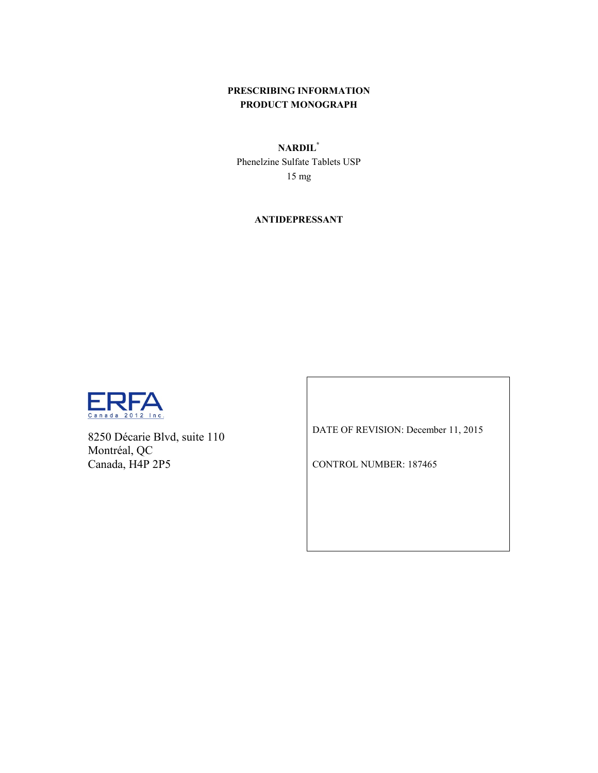# **PRESCRIBING INFORMATION PRODUCT MONOGRAPH**

# **NARDIL\***

Phenelzine Sulfate Tablets USP 15 mg

**ANTIDEPRESSANT**



8250 Décarie Blvd, suite 110 Montréal, QC Canada, H4P 2P5

DATE OF REVISION: December 11, 2015

CONTROL NUMBER: 187465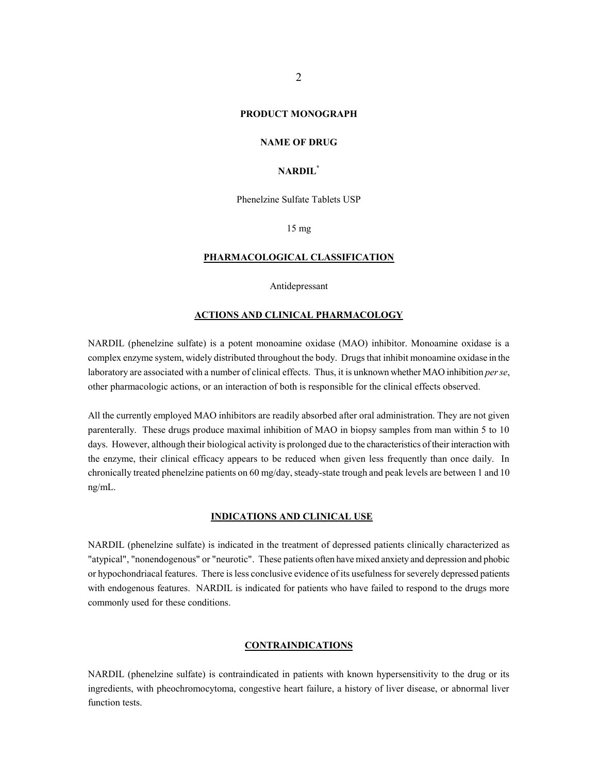### **PRODUCT MONOGRAPH**

### **NAME OF DRUG**

### **NARDIL\***

Phenelzine Sulfate Tablets USP

15 mg

### **PHARMACOLOGICAL CLASSIFICATION**

Antidepressant

### **ACTIONS AND CLINICAL PHARMACOLOGY**

NARDIL (phenelzine sulfate) is a potent monoamine oxidase (MAO) inhibitor. Monoamine oxidase is a complex enzyme system, widely distributed throughout the body. Drugs that inhibit monoamine oxidase in the laboratory are associated with a number of clinical effects. Thus, it is unknown whether MAO inhibition *per se*, other pharmacologic actions, or an interaction of both is responsible for the clinical effects observed.

All the currently employed MAO inhibitors are readily absorbed after oral administration. They are not given parenterally. These drugs produce maximal inhibition of MAO in biopsy samples from man within 5 to 10 days. However, although their biological activity is prolonged due to the characteristics of their interaction with the enzyme, their clinical efficacy appears to be reduced when given less frequently than once daily. In chronically treated phenelzine patients on 60 mg/day, steady-state trough and peak levels are between 1 and 10 ng/mL.

# **INDICATIONS AND CLINICAL USE**

NARDIL (phenelzine sulfate) is indicated in the treatment of depressed patients clinically characterized as "atypical", "nonendogenous" or "neurotic". These patients often have mixed anxiety and depression and phobic or hypochondriacal features. There is less conclusive evidence of its usefulness for severely depressed patients with endogenous features. NARDIL is indicated for patients who have failed to respond to the drugs more commonly used for these conditions.

### **CONTRAINDICATIONS**

NARDIL (phenelzine sulfate) is contraindicated in patients with known hypersensitivity to the drug or its ingredients, with pheochromocytoma, congestive heart failure, a history of liver disease, or abnormal liver function tests.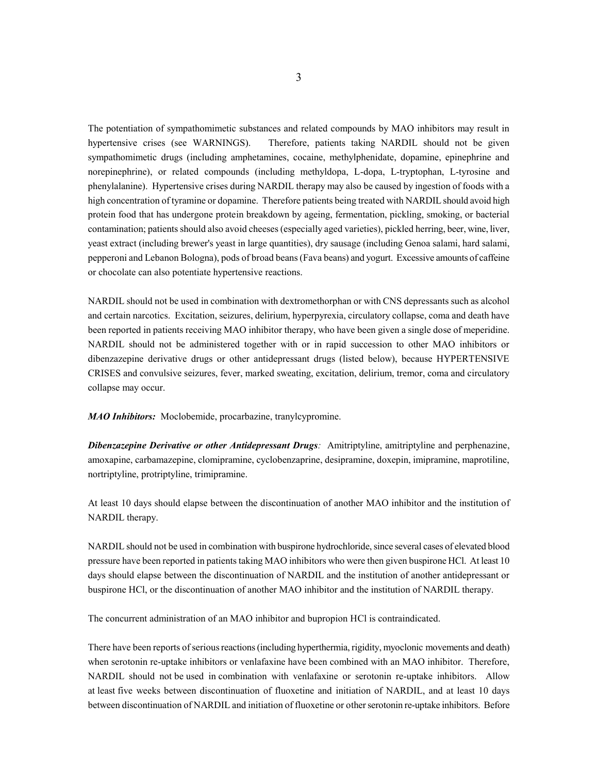The potentiation of sympathomimetic substances and related compounds by MAO inhibitors may result in hypertensive crises (see WARNINGS). Therefore, patients taking NARDIL should not be given sympathomimetic drugs (including amphetamines, cocaine, methylphenidate, dopamine, epinephrine and norepinephrine), or related compounds (including methyldopa, L-dopa, L-tryptophan, L-tyrosine and phenylalanine). Hypertensive crises during NARDIL therapy may also be caused by ingestion of foods with a high concentration of tyramine or dopamine. Therefore patients being treated with NARDIL should avoid high protein food that has undergone protein breakdown by ageing, fermentation, pickling, smoking, or bacterial contamination; patients should also avoid cheeses (especially aged varieties), pickled herring, beer, wine, liver, yeast extract (including brewer's yeast in large quantities), dry sausage (including Genoa salami, hard salami, pepperoni and Lebanon Bologna), pods of broad beans (Fava beans) and yogurt. Excessive amounts of caffeine or chocolate can also potentiate hypertensive reactions.

NARDIL should not be used in combination with dextromethorphan or with CNS depressants such as alcohol and certain narcotics. Excitation, seizures, delirium, hyperpyrexia, circulatory collapse, coma and death have been reported in patients receiving MAO inhibitor therapy, who have been given a single dose of meperidine. NARDIL should not be administered together with or in rapid succession to other MAO inhibitors or dibenzazepine derivative drugs or other antidepressant drugs (listed below), because HYPERTENSIVE CRISES and convulsive seizures, fever, marked sweating, excitation, delirium, tremor, coma and circulatory collapse may occur.

*MAO Inhibitors:* Moclobemide, procarbazine, tranylcypromine.

*Dibenzazepine Derivative or other Antidepressant Drugs:* Amitriptyline, amitriptyline and perphenazine, amoxapine, carbamazepine, clomipramine, cyclobenzaprine, desipramine, doxepin, imipramine, maprotiline, nortriptyline, protriptyline, trimipramine.

At least 10 days should elapse between the discontinuation of another MAO inhibitor and the institution of NARDIL therapy.

NARDIL should not be used in combination with buspirone hydrochloride, since several cases of elevated blood pressure have been reported in patients taking MAO inhibitors who were then given buspirone HCl. At least 10 days should elapse between the discontinuation of NARDIL and the institution of another antidepressant or buspirone HCl, or the discontinuation of another MAO inhibitor and the institution of NARDIL therapy.

The concurrent administration of an MAO inhibitor and bupropion HCl is contraindicated.

There have been reports of serious reactions (including hyperthermia, rigidity, myoclonic movements and death) when serotonin re-uptake inhibitors or venlafaxine have been combined with an MAO inhibitor. Therefore, NARDIL should not be used in combination with venlafaxine or serotonin re-uptake inhibitors. Allow at least five weeks between discontinuation of fluoxetine and initiation of NARDIL, and at least 10 days between discontinuation of NARDIL and initiation of fluoxetine or other serotonin re-uptake inhibitors. Before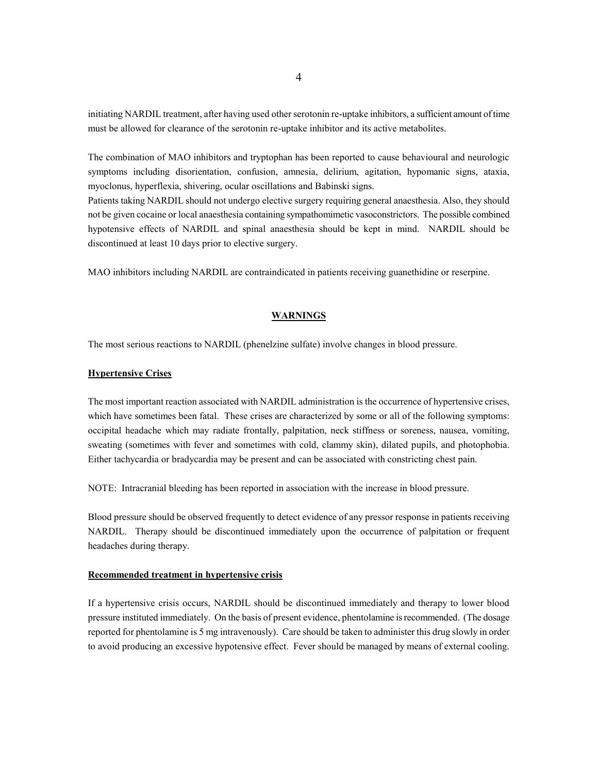initiating NARDIL treatment, after having used other serotonin re-uptake inhibitors, a sufficient amount of time must be allowed for clearance of the serotonin re-uptake inhibitor and its active metabolites.

The combination of MAO inhibitors and tryptophan has been reported to cause behavioural and neurologic symptoms including disorientation, confusion, amnesia, delirium, agitation, hypomanic signs, ataxia, myoclonus, hyperflexia, shivering, ocular oscillations and Babinski signs.

Patients taking NARDIL should not undergo elective surgery requiring general anaesthesia. Also, they should not be given cocaine or local anaesthesia containing sympathomimetic vasoconstrictors. The possible combined hypotensive effects of NARDIL and spinal anaesthesia should be kept in mind. NARDIL should be discontinued at least 10 days prior to elective surgery.

MAO inhibitors including NARDIL are contraindicated in patients receiving guanethidine or reserpine.

### **WARNINGS**

The most serious reactions to NARDIL (phenelzine sulfate) involve changes in blood pressure.

#### **Hypertensive Crises**

The most important reaction associated with NARDIL administration is the occurrence of hypertensive crises, which have sometimes been fatal. These crises are characterized by some or all of the following symptoms: occipital headache which may radiate frontally, palpitation, neck stiffness or soreness, nausea, vomiting, sweating (sometimes with fever and sometimes with cold, clammy skin), dilated pupils, and photophobia. Either tachycardia or bradycardia may be present and can be associated with constricting chest pain.

NOTE: Intracranial bleeding has been reported in association with the increase in blood pressure.

Blood pressure should be observed frequently to detect evidence of any pressor response in patients receiving NARDIL. Therapy should be discontinued immediately upon the occurrence of palpitation or frequent headaches during therapy.

### **Recommended treatment in hypertensive crisis**

If a hypertensive crisis occurs, NARDIL should be discontinued immediately and therapy to lower blood pressure instituted immediately. On the basis of present evidence, phentolamine is recommended. (The dosage reported for phentolamine is 5 mg intravenously). Care should be taken to administer this drug slowly in order to avoid producing an excessive hypotensive effect. Fever should be managed by means of external cooling.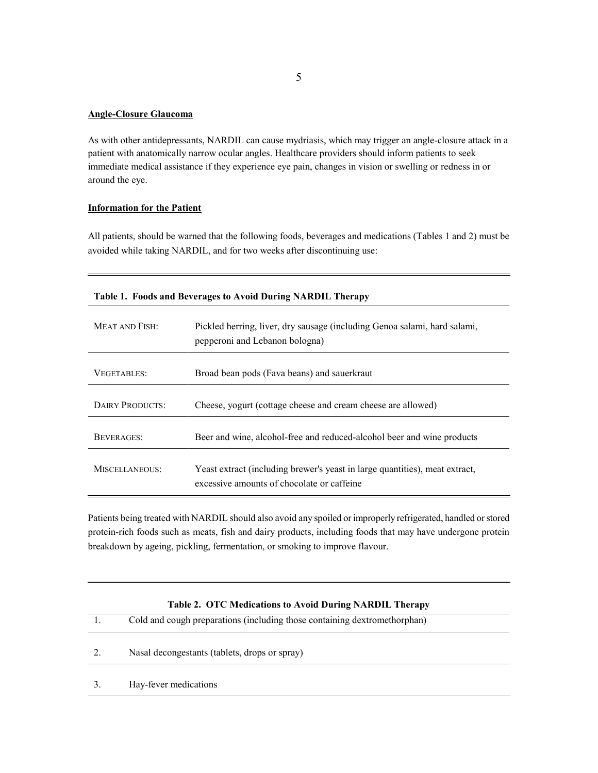### **Angle-Closure Glaucoma**

As with other antidepressants, NARDIL can cause mydriasis, which may trigger an angle-closure attack in a patient with anatomically narrow ocular angles. Healthcare providers should inform patients to seek immediate medical assistance if they experience eye pain, changes in vision or swelling or redness in or around the eye.

# **Information for the Patient**

All patients, should be warned that the following foods, beverages and medications (Tables 1 and 2) must be avoided while taking NARDIL, and for two weeks after discontinuing use:

| Table 1. Foods and Beverages to Avoid During NARDIL Therapy |                                                                                                                           |  |  |
|-------------------------------------------------------------|---------------------------------------------------------------------------------------------------------------------------|--|--|
| <b>MEAT AND FISH:</b>                                       | Pickled herring, liver, dry sausage (including Genoa salami, hard salami,<br>pepperoni and Lebanon bologna)               |  |  |
| <b>VEGETABLES:</b>                                          | Broad bean pods (Fava beans) and sauerkraut                                                                               |  |  |
| DAIRY PRODUCTS:                                             | Cheese, yogurt (cottage cheese and cream cheese are allowed)                                                              |  |  |
| BEVERAGES:                                                  | Beer and wine, alcohol-free and reduced-alcohol beer and wine products                                                    |  |  |
| MISCELLANEOUS:                                              | Yeast extract (including brewer's yeast in large quantities), meat extract,<br>excessive amounts of chocolate or caffeine |  |  |

### **Table 1. Foods and Beverages to Avoid During NARDIL Therapy**

Patients being treated with NARDIL should also avoid any spoiled or improperly refrigerated, handled or stored protein-rich foods such as meats, fish and dairy products, including foods that may have undergone protein breakdown by ageing, pickling, fermentation, or smoking to improve flavour.

|    | Table 2. OTC Medications to Avoid During NARDIL Therapy                   |
|----|---------------------------------------------------------------------------|
|    | Cold and cough preparations (including those containing dextromethorphan) |
| 2. | Nasal decongestants (tablets, drops or spray)                             |
|    | Hay-fever medications                                                     |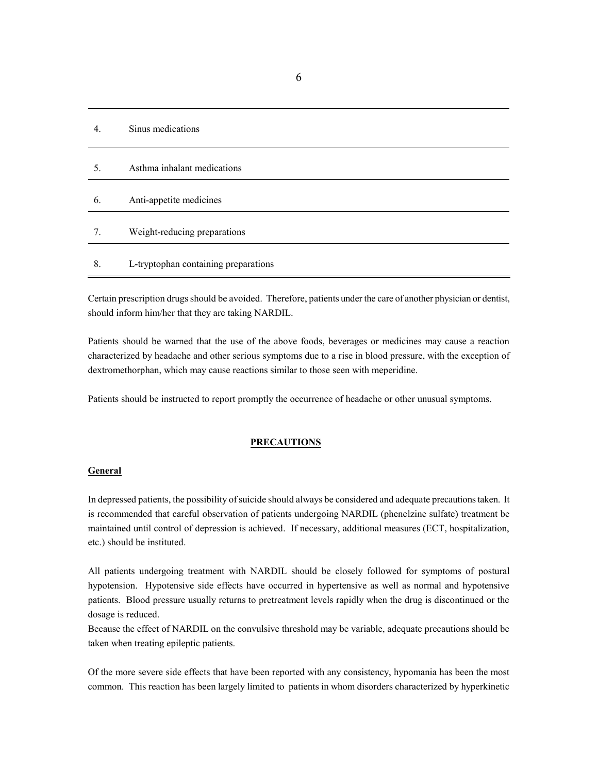| $\overline{4}$ . | Sinus medications                    |
|------------------|--------------------------------------|
| 5.               | Asthma inhalant medications          |
|                  |                                      |
| 6.               | Anti-appetite medicines              |
|                  |                                      |
| 7.               | Weight-reducing preparations         |
|                  |                                      |
| 8.               | L-tryptophan containing preparations |

Certain prescription drugs should be avoided. Therefore, patients under the care of another physician or dentist, should inform him/her that they are taking NARDIL.

Patients should be warned that the use of the above foods, beverages or medicines may cause a reaction characterized by headache and other serious symptoms due to a rise in blood pressure, with the exception of dextromethorphan, which may cause reactions similar to those seen with meperidine.

Patients should be instructed to report promptly the occurrence of headache or other unusual symptoms.

#### **PRECAUTIONS**

### **General**

In depressed patients, the possibility of suicide should always be considered and adequate precautions taken. It is recommended that careful observation of patients undergoing NARDIL (phenelzine sulfate) treatment be maintained until control of depression is achieved. If necessary, additional measures (ECT, hospitalization, etc.) should be instituted.

All patients undergoing treatment with NARDIL should be closely followed for symptoms of postural hypotension. Hypotensive side effects have occurred in hypertensive as well as normal and hypotensive patients. Blood pressure usually returns to pretreatment levels rapidly when the drug is discontinued or the dosage is reduced.

Because the effect of NARDIL on the convulsive threshold may be variable, adequate precautions should be taken when treating epileptic patients.

Of the more severe side effects that have been reported with any consistency, hypomania has been the most common. This reaction has been largely limited to patients in whom disorders characterized by hyperkinetic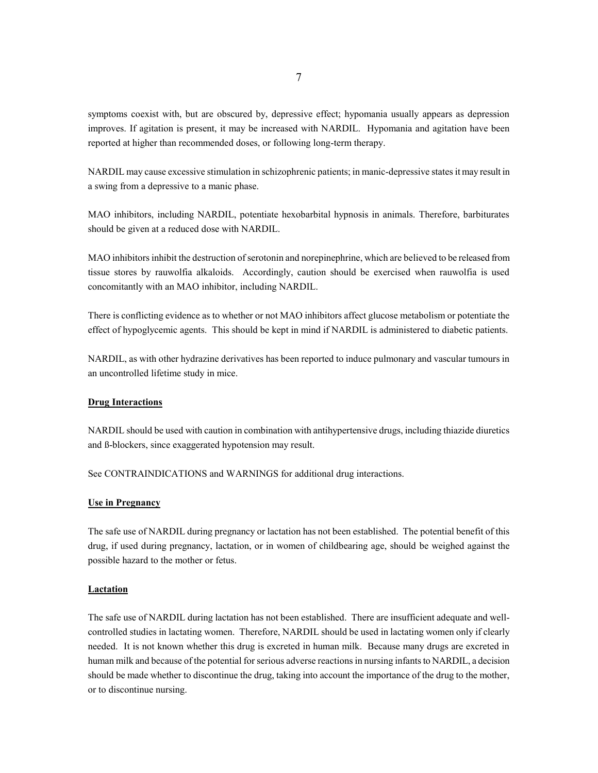symptoms coexist with, but are obscured by, depressive effect; hypomania usually appears as depression improves. If agitation is present, it may be increased with NARDIL. Hypomania and agitation have been reported at higher than recommended doses, or following long-term therapy.

NARDIL may cause excessive stimulation in schizophrenic patients; in manic-depressive states it may result in a swing from a depressive to a manic phase.

MAO inhibitors, including NARDIL, potentiate hexobarbital hypnosis in animals. Therefore, barbiturates should be given at a reduced dose with NARDIL.

MAO inhibitors inhibit the destruction of serotonin and norepinephrine, which are believed to be released from tissue stores by rauwolfia alkaloids. Accordingly, caution should be exercised when rauwolfia is used concomitantly with an MAO inhibitor, including NARDIL.

There is conflicting evidence as to whether or not MAO inhibitors affect glucose metabolism or potentiate the effect of hypoglycemic agents. This should be kept in mind if NARDIL is administered to diabetic patients.

NARDIL, as with other hydrazine derivatives has been reported to induce pulmonary and vascular tumours in an uncontrolled lifetime study in mice.

### **Drug Interactions**

NARDIL should be used with caution in combination with antihypertensive drugs, including thiazide diuretics and ß-blockers, since exaggerated hypotension may result.

See CONTRAINDICATIONS and WARNINGS for additional drug interactions.

### **Use in Pregnancy**

The safe use of NARDIL during pregnancy or lactation has not been established. The potential benefit of this drug, if used during pregnancy, lactation, or in women of childbearing age, should be weighed against the possible hazard to the mother or fetus.

### **Lactation**

The safe use of NARDIL during lactation has not been established. There are insufficient adequate and wellcontrolled studies in lactating women. Therefore, NARDIL should be used in lactating women only if clearly needed. It is not known whether this drug is excreted in human milk. Because many drugs are excreted in human milk and because of the potential for serious adverse reactions in nursing infants to NARDIL, a decision should be made whether to discontinue the drug, taking into account the importance of the drug to the mother, or to discontinue nursing.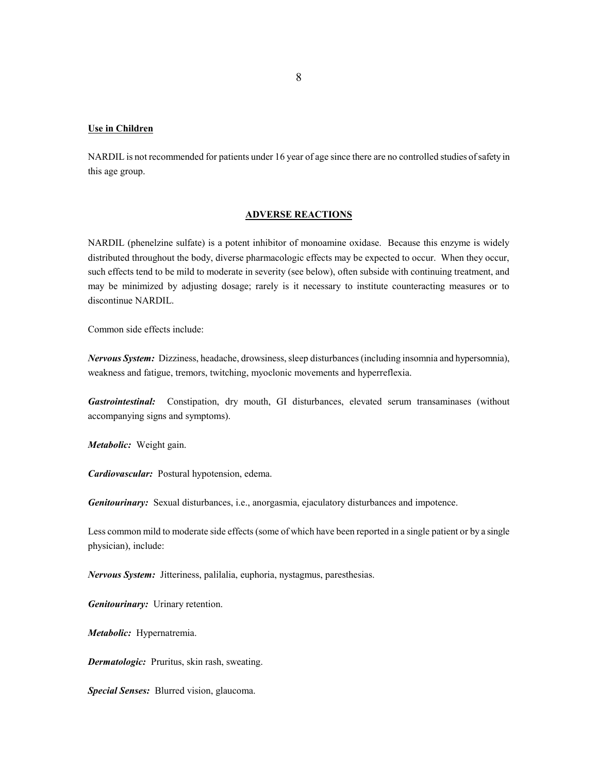### **Use in Children**

NARDIL is not recommended for patients under 16 year of age since there are no controlled studies of safety in this age group.

### **ADVERSE REACTIONS**

NARDIL (phenelzine sulfate) is a potent inhibitor of monoamine oxidase. Because this enzyme is widely distributed throughout the body, diverse pharmacologic effects may be expected to occur. When they occur, such effects tend to be mild to moderate in severity (see below), often subside with continuing treatment, and may be minimized by adjusting dosage; rarely is it necessary to institute counteracting measures or to discontinue NARDIL.

Common side effects include:

*Nervous System:* Dizziness, headache, drowsiness, sleep disturbances (including insomnia and hypersomnia), weakness and fatigue, tremors, twitching, myoclonic movements and hyperreflexia.

*Gastrointestinal:*Constipation, dry mouth, GI disturbances, elevated serum transaminases (without accompanying signs and symptoms).

*Metabolic:* Weight gain.

*Cardiovascular:* Postural hypotension, edema.

*Genitourinary:* Sexual disturbances, i.e., anorgasmia, ejaculatory disturbances and impotence.

Less common mild to moderate side effects (some of which have been reported in a single patient or by a single physician), include:

*Nervous System:*Jitteriness, palilalia, euphoria, nystagmus, paresthesias.

*Genitourinary:* Urinary retention.

*Metabolic:* Hypernatremia.

*Dermatologic:* Pruritus, skin rash, sweating.

*Special Senses:* Blurred vision, glaucoma.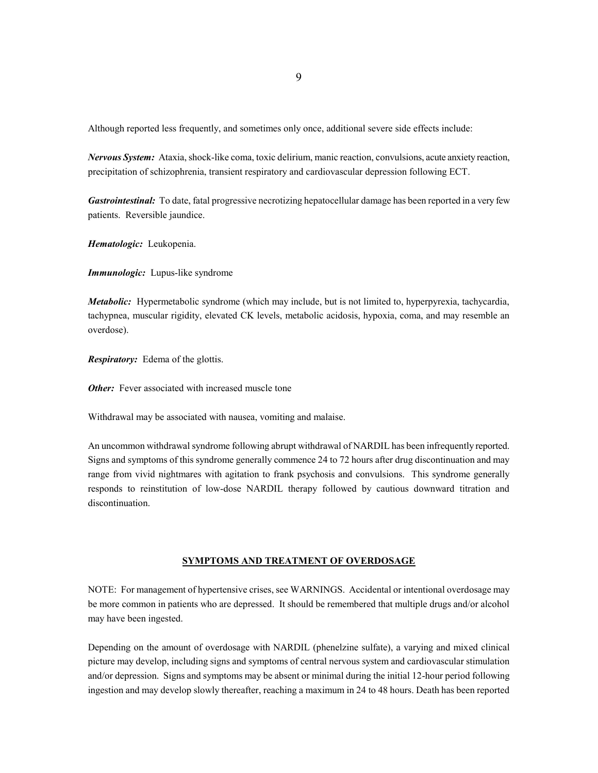Although reported less frequently, and sometimes only once, additional severe side effects include:

*Nervous System:* Ataxia, shock-like coma, toxic delirium, manic reaction, convulsions, acute anxiety reaction, precipitation of schizophrenia, transient respiratory and cardiovascular depression following ECT.

*Gastrointestinal:* To date, fatal progressive necrotizing hepatocellular damage has been reported in a very few patients. Reversible jaundice.

*Hematologic:*Leukopenia.

*Immunologic:* Lupus-like syndrome

*Metabolic:* Hypermetabolic syndrome (which may include, but is not limited to, hyperpyrexia, tachycardia, tachypnea, muscular rigidity, elevated CK levels, metabolic acidosis, hypoxia, coma, and may resemble an overdose).

*Respiratory:* Edema of the glottis.

*Other:* Fever associated with increased muscle tone

Withdrawal may be associated with nausea, vomiting and malaise.

An uncommon withdrawal syndrome following abrupt withdrawal of NARDIL has been infrequently reported. Signs and symptoms of this syndrome generally commence 24 to 72 hours after drug discontinuation and may range from vivid nightmares with agitation to frank psychosis and convulsions. This syndrome generally responds to reinstitution of low-dose NARDIL therapy followed by cautious downward titration and discontinuation.

#### **SYMPTOMS AND TREATMENT OF OVERDOSAGE**

NOTE: For management of hypertensive crises, see WARNINGS. Accidental or intentional overdosage may be more common in patients who are depressed. It should be remembered that multiple drugs and/or alcohol may have been ingested.

Depending on the amount of overdosage with NARDIL (phenelzine sulfate), a varying and mixed clinical picture may develop, including signs and symptoms of central nervous system and cardiovascular stimulation and/or depression. Signs and symptoms may be absent or minimal during the initial 12-hour period following ingestion and may develop slowly thereafter, reaching a maximum in 24 to 48 hours. Death has been reported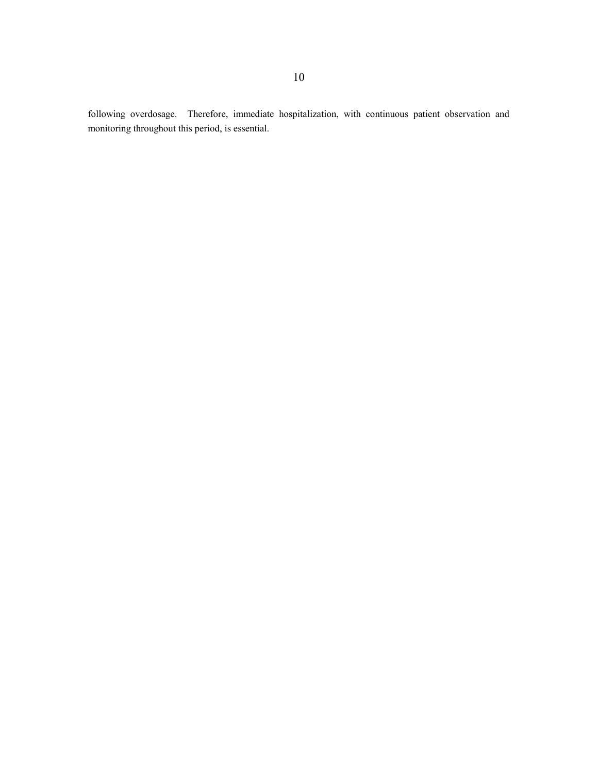following overdosage. Therefore, immediate hospitalization, with continuous patient observation and monitoring throughout this period, is essential.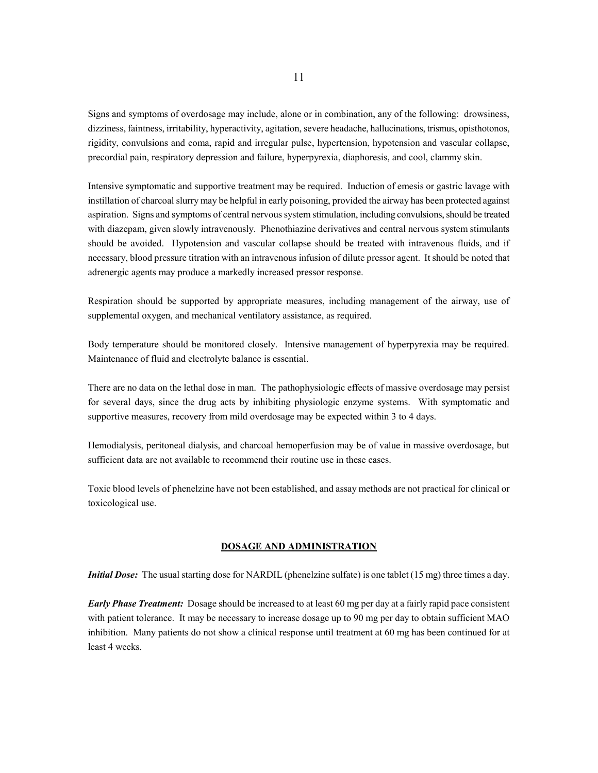Signs and symptoms of overdosage may include, alone or in combination, any of the following: drowsiness, dizziness, faintness, irritability, hyperactivity, agitation, severe headache, hallucinations, trismus, opisthotonos, rigidity, convulsions and coma, rapid and irregular pulse, hypertension, hypotension and vascular collapse, precordial pain, respiratory depression and failure, hyperpyrexia, diaphoresis, and cool, clammy skin.

Intensive symptomatic and supportive treatment may be required. Induction of emesis or gastric lavage with instillation of charcoal slurry may be helpful in early poisoning, provided the airway has been protected against aspiration. Signs and symptoms of central nervous system stimulation, including convulsions, should be treated with diazepam, given slowly intravenously. Phenothiazine derivatives and central nervous system stimulants should be avoided. Hypotension and vascular collapse should be treated with intravenous fluids, and if necessary, blood pressure titration with an intravenous infusion of dilute pressor agent. It should be noted that adrenergic agents may produce a markedly increased pressor response.

Respiration should be supported by appropriate measures, including management of the airway, use of supplemental oxygen, and mechanical ventilatory assistance, as required.

Body temperature should be monitored closely. Intensive management of hyperpyrexia may be required. Maintenance of fluid and electrolyte balance is essential.

There are no data on the lethal dose in man. The pathophysiologic effects of massive overdosage may persist for several days, since the drug acts by inhibiting physiologic enzyme systems. With symptomatic and supportive measures, recovery from mild overdosage may be expected within 3 to 4 days.

Hemodialysis, peritoneal dialysis, and charcoal hemoperfusion may be of value in massive overdosage, but sufficient data are not available to recommend their routine use in these cases.

Toxic blood levels of phenelzine have not been established, and assay methods are not practical for clinical or toxicological use.

# **DOSAGE AND ADMINISTRATION**

*Initial Dose:* The usual starting dose for NARDIL (phenelzine sulfate) is one tablet (15 mg) three times a day.

*Early Phase Treatment:* Dosage should be increased to at least 60 mg per day at a fairly rapid pace consistent with patient tolerance. It may be necessary to increase dosage up to 90 mg per day to obtain sufficient MAO inhibition. Many patients do not show a clinical response until treatment at 60 mg has been continued for at least 4 weeks.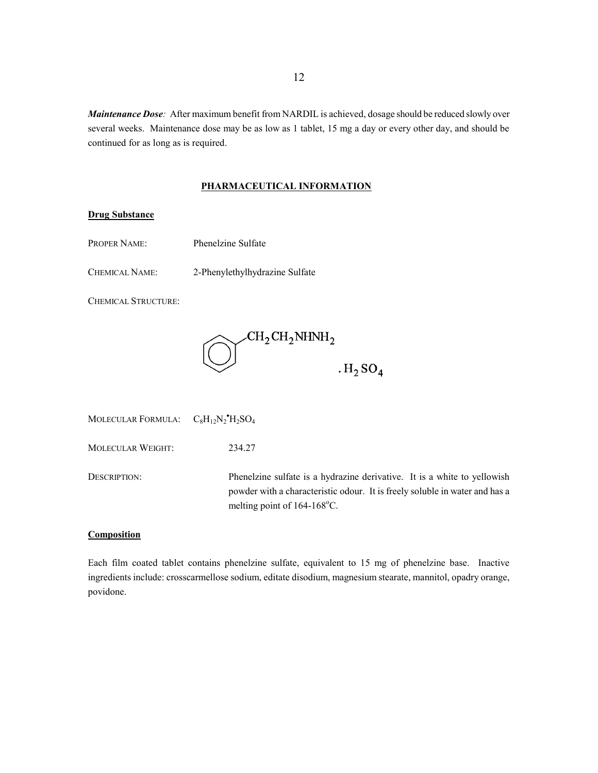*Maintenance Dose:* After maximum benefit from NARDIL is achieved, dosage should be reduced slowly over several weeks. Maintenance dose may be as low as 1 tablet, 15 mg a day or every other day, and should be continued for as long as is required.

### **PHARMACEUTICAL INFORMATION**

# **Drug Substance**

- PROPER NAME: Phenelzine Sulfate
- CHEMICAL NAME: 2-Phenylethylhydrazine Sulfate

CHEMICAL STRUCTURE:



MOLECULAR FORMULA:  $C_8H_{12}N_2^{\bullet}H_2SO_4$ 

MOLECULAR WEIGHT: 234.27

DESCRIPTION: Phenelzine sulfate is a hydrazine derivative. It is a white to yellowish powder with a characteristic odour. It is freely soluble in water and has a melting point of 164-168°C.

### **Composition**

Each film coated tablet contains phenelzine sulfate, equivalent to 15 mg of phenelzine base. Inactive ingredients include: crosscarmellose sodium, editate disodium, magnesium stearate, mannitol, opadry orange, povidone.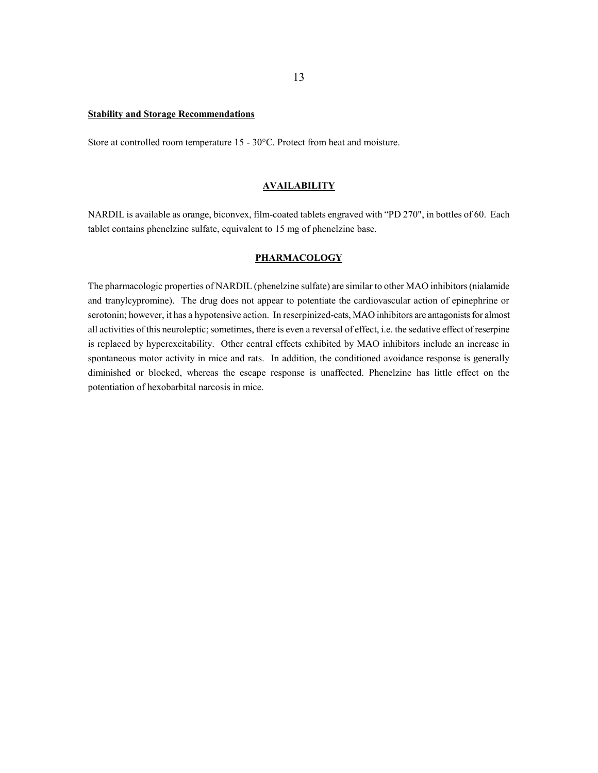### **Stability and Storage Recommendations**

Store at controlled room temperature 15 - 30°C. Protect from heat and moisture.

### **AVAILABILITY**

NARDIL is available as orange, biconvex, film-coated tablets engraved with "PD 270", in bottles of 60. Each tablet contains phenelzine sulfate, equivalent to 15 mg of phenelzine base.

### **PHARMACOLOGY**

The pharmacologic properties of NARDIL (phenelzine sulfate) are similar to other MAO inhibitors (nialamide and tranylcypromine). The drug does not appear to potentiate the cardiovascular action of epinephrine or serotonin; however, it has a hypotensive action. In reserpinized-cats, MAO inhibitors are antagonists for almost all activities of this neuroleptic; sometimes, there is even a reversal of effect, i.e. the sedative effect of reserpine is replaced by hyperexcitability. Other central effects exhibited by MAO inhibitors include an increase in spontaneous motor activity in mice and rats. In addition, the conditioned avoidance response is generally diminished or blocked, whereas the escape response is unaffected. Phenelzine has little effect on the potentiation of hexobarbital narcosis in mice.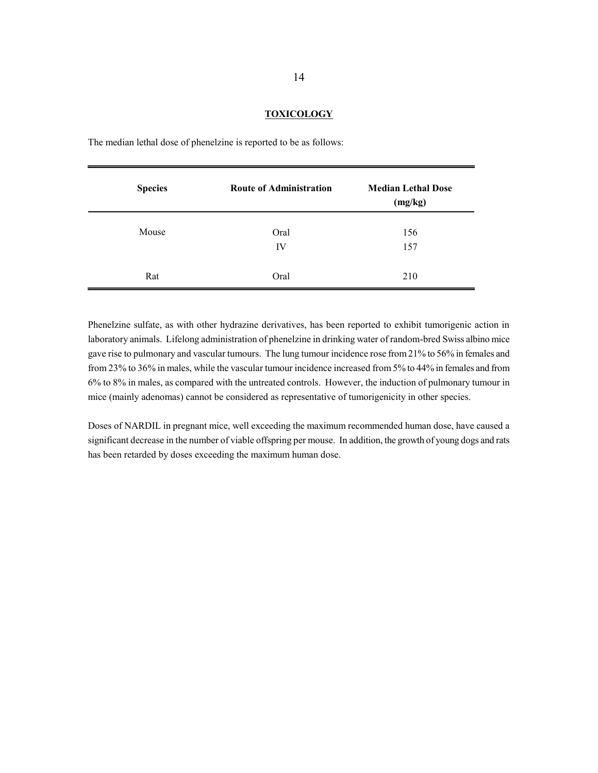### **TOXICOLOGY**

| <b>Species</b> | <b>Route of Administration</b> | <b>Median Lethal Dose</b><br>(mg/kg) |
|----------------|--------------------------------|--------------------------------------|
| Mouse          | Oral<br>IV                     | 156<br>157                           |
| Rat            | Oral                           | 210                                  |

The median lethal dose of phenelzine is reported to be as follows:

Phenelzine sulfate, as with other hydrazine derivatives, has been reported to exhibit tumorigenic action in laboratory animals. Lifelong administration of phenelzine in drinking water of random-bred Swiss albino mice gave rise to pulmonary and vascular tumours. The lung tumour incidence rose from 21% to 56% in females and from 23% to 36% in males, while the vascular tumour incidence increased from 5% to 44% in females and from 6% to 8% in males, as compared with the untreated controls. However, the induction of pulmonary tumour in mice (mainly adenomas) cannot be considered as representative of tumorigenicity in other species.

Doses of NARDIL in pregnant mice, well exceeding the maximum recommended human dose, have caused a significant decrease in the number of viable offspring per mouse. In addition, the growth of young dogs and rats has been retarded by doses exceeding the maximum human dose.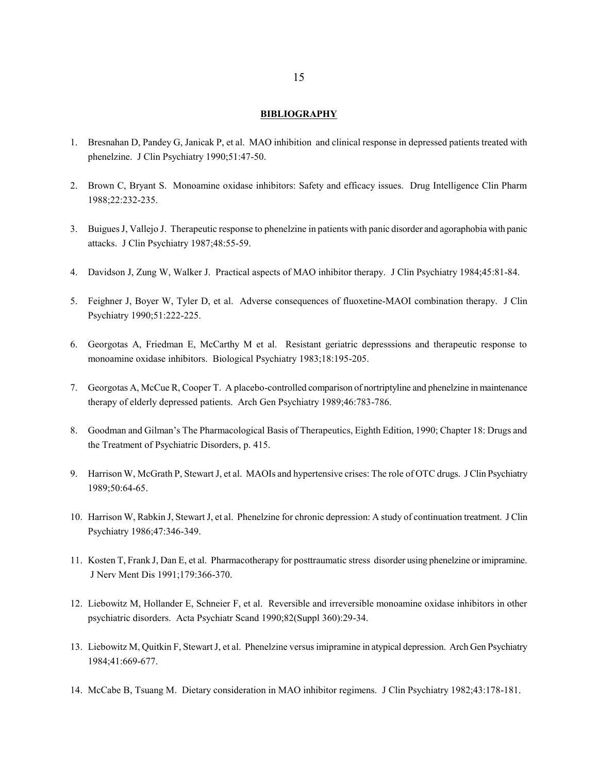### **BIBLIOGRAPHY**

- 1. Bresnahan D, Pandey G, Janicak P, et al. MAO inhibition and clinical response in depressed patients treated with phenelzine. J Clin Psychiatry 1990;51:47-50.
- 2. Brown C, Bryant S. Monoamine oxidase inhibitors: Safety and efficacy issues. Drug Intelligence Clin Pharm 1988;22:232-235.
- 3. Buigues J, Vallejo J. Therapeutic response to phenelzine in patients with panic disorder and agoraphobia with panic attacks. J Clin Psychiatry 1987;48:55-59.
- 4. Davidson J, Zung W, Walker J. Practical aspects of MAO inhibitor therapy. J Clin Psychiatry 1984;45:81-84.
- 5. Feighner J, Boyer W, Tyler D, et al. Adverse consequences of fluoxetine-MAOI combination therapy. J Clin Psychiatry 1990;51:222-225.
- 6. Georgotas A, Friedman E, McCarthy M et al. Resistant geriatric depresssions and therapeutic response to monoamine oxidase inhibitors. Biological Psychiatry 1983;18:195-205.
- 7. Georgotas A, McCue R, Cooper T. A placebo-controlled comparison of nortriptyline and phenelzine in maintenance therapy of elderly depressed patients. Arch Gen Psychiatry 1989;46:783-786.
- 8. Goodman and Gilman's The Pharmacological Basis of Therapeutics, Eighth Edition, 1990; Chapter 18: Drugs and the Treatment of Psychiatric Disorders, p. 415.
- 9. Harrison W, McGrath P, Stewart J, et al. MAOIs and hypertensive crises: The role of OTC drugs. J Clin Psychiatry 1989;50:64-65.
- 10. Harrison W, Rabkin J, Stewart J, et al. Phenelzine for chronic depression: A study of continuation treatment. J Clin Psychiatry 1986;47:346-349.
- 11. Kosten T, Frank J, Dan E, et al. Pharmacotherapy for posttraumatic stress disorder using phenelzine or imipramine. J Nerv Ment Dis 1991;179:366-370.
- 12. Liebowitz M, Hollander E, Schneier F, et al. Reversible and irreversible monoamine oxidase inhibitors in other psychiatric disorders. Acta Psychiatr Scand 1990;82(Suppl 360):29-34.
- 13. Liebowitz M, Quitkin F, Stewart J, et al. Phenelzine versus imipramine in atypical depression. Arch Gen Psychiatry 1984;41:669-677.
- 14. McCabe B, Tsuang M. Dietary consideration in MAO inhibitor regimens. J Clin Psychiatry 1982;43:178-181.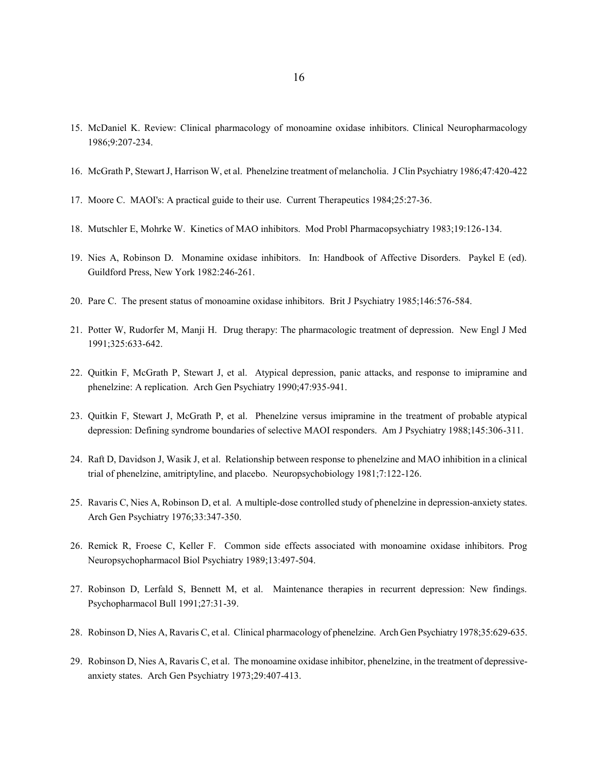- 15. McDaniel K. Review: Clinical pharmacology of monoamine oxidase inhibitors. Clinical Neuropharmacology 1986;9:207-234.
- 16. McGrath P, Stewart J, Harrison W, et al. Phenelzine treatment of melancholia. J Clin Psychiatry 1986;47:420-422
- 17. Moore C. MAOI's: A practical guide to their use. Current Therapeutics 1984;25:27-36.
- 18. Mutschler E, Mohrke W. Kinetics of MAO inhibitors. Mod Probl Pharmacopsychiatry 1983;19:126-134.
- 19. Nies A, Robinson D. Monamine oxidase inhibitors. In: Handbook of Affective Disorders. Paykel E (ed). Guildford Press, New York 1982:246-261.
- 20. Pare C. The present status of monoamine oxidase inhibitors. Brit J Psychiatry 1985;146:576-584.
- 21. Potter W, Rudorfer M, Manji H. Drug therapy: The pharmacologic treatment of depression. New Engl J Med 1991;325:633-642.
- 22. Quitkin F, McGrath P, Stewart J, et al. Atypical depression, panic attacks, and response to imipramine and phenelzine: A replication. Arch Gen Psychiatry 1990;47:935-941.
- 23. Quitkin F, Stewart J, McGrath P, et al. Phenelzine versus imipramine in the treatment of probable atypical depression: Defining syndrome boundaries of selective MAOI responders. Am J Psychiatry 1988;145:306-311.
- 24. Raft D, Davidson J, Wasik J, et al. Relationship between response to phenelzine and MAO inhibition in a clinical trial of phenelzine, amitriptyline, and placebo. Neuropsychobiology 1981;7:122-126.
- 25. Ravaris C, Nies A, Robinson D, et al. A multiple-dose controlled study of phenelzine in depression-anxiety states. Arch Gen Psychiatry 1976;33:347-350.
- 26. Remick R, Froese C, Keller F. Common side effects associated with monoamine oxidase inhibitors. Prog Neuropsychopharmacol Biol Psychiatry 1989;13:497-504.
- 27. Robinson D, Lerfald S, Bennett M, et al. Maintenance therapies in recurrent depression: New findings. Psychopharmacol Bull 1991;27:31-39.
- 28. Robinson D, Nies A, Ravaris C, et al. Clinical pharmacology of phenelzine. Arch Gen Psychiatry 1978;35:629-635.
- 29. Robinson D, Nies A, Ravaris C, et al. The monoamine oxidase inhibitor, phenelzine, in the treatment of depressiveanxiety states. Arch Gen Psychiatry 1973;29:407-413.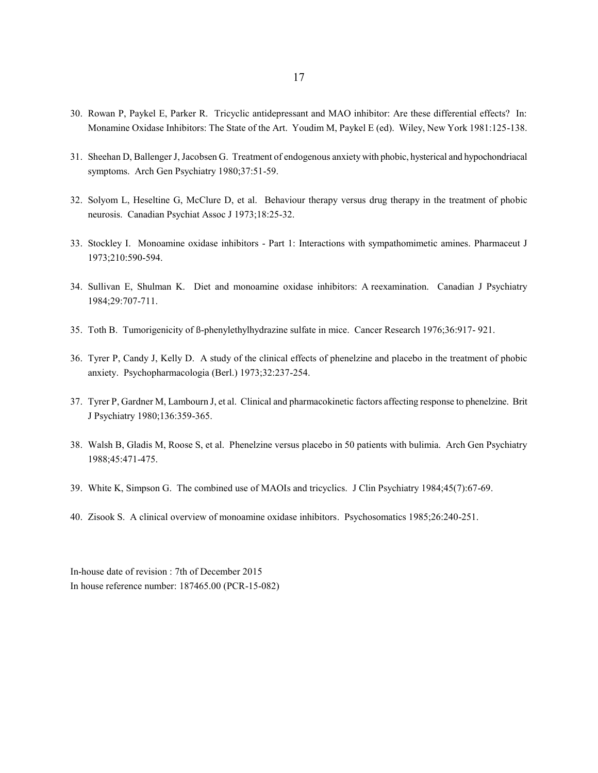- 30. Rowan P, Paykel E, Parker R. Tricyclic antidepressant and MAO inhibitor: Are these differential effects? In: Monamine Oxidase Inhibitors: The State of the Art. Youdim M, Paykel E (ed). Wiley, New York 1981:125-138.
- 31. Sheehan D, Ballenger J, Jacobsen G. Treatment of endogenous anxiety with phobic, hysterical and hypochondriacal symptoms. Arch Gen Psychiatry 1980;37:51-59.
- 32. Solyom L, Heseltine G, McClure D, et al. Behaviour therapy versus drug therapy in the treatment of phobic neurosis. Canadian Psychiat Assoc J 1973;18:25-32.
- 33. Stockley I. Monoamine oxidase inhibitors Part 1: Interactions with sympathomimetic amines. Pharmaceut J 1973;210:590-594.
- 34. Sullivan E, Shulman K. Diet and monoamine oxidase inhibitors: A reexamination. Canadian J Psychiatry 1984;29:707-711.
- 35. Toth B. Tumorigenicity of ß-phenylethylhydrazine sulfate in mice. Cancer Research 1976;36:917- 921.
- 36. Tyrer P, Candy J, Kelly D. A study of the clinical effects of phenelzine and placebo in the treatment of phobic anxiety. Psychopharmacologia (Berl.) 1973;32:237-254.
- 37. Tyrer P, Gardner M, Lambourn J, et al. Clinical and pharmacokinetic factors affecting response to phenelzine. Brit J Psychiatry 1980;136:359-365.
- 38. Walsh B, Gladis M, Roose S, et al. Phenelzine versus placebo in 50 patients with bulimia. Arch Gen Psychiatry 1988;45:471-475.
- 39. White K, Simpson G. The combined use of MAOIs and tricyclics. J Clin Psychiatry 1984;45(7):67-69.
- 40. Zisook S. A clinical overview of monoamine oxidase inhibitors. Psychosomatics 1985;26:240-251.

In-house date of revision : 7th of December 2015 In house reference number: 187465.00 (PCR-15-082)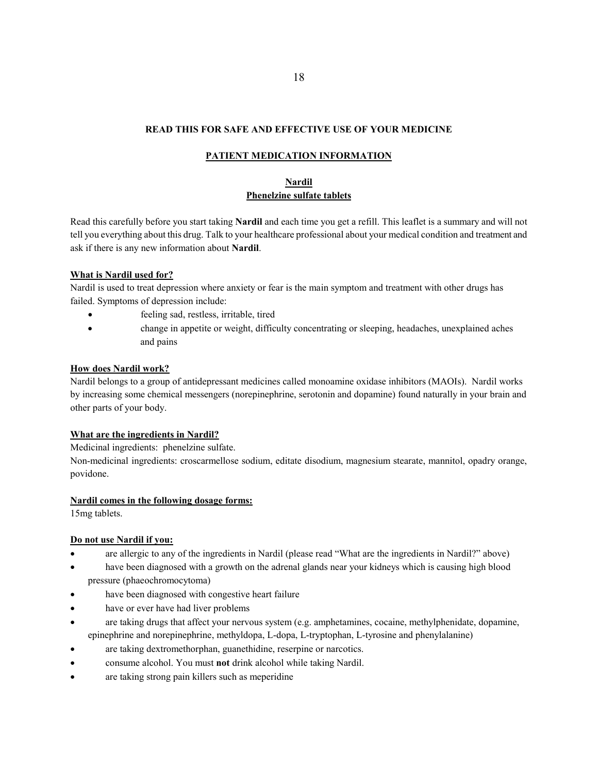# **READ THIS FOR SAFE AND EFFECTIVE USE OF YOUR MEDICINE**

# **PATIENT MEDICATION INFORMATION**

# **Nardil Phenelzine sulfate tablets**

Read this carefully before you start taking **Nardil** and each time you get a refill. This leaflet is a summary and will not tell you everything about this drug. Talk to your healthcare professional about your medical condition and treatment and ask if there is any new information about **Nardil**.

# **What is Nardil used for?**

Nardil is used to treat depression where anxiety or fear is the main symptom and treatment with other drugs has failed. Symptoms of depression include:

- feeling sad, restless, irritable, tired
- change in appetite or weight, difficulty concentrating or sleeping, headaches, unexplained aches and pains

# **How does Nardil work?**

Nardil belongs to a group of antidepressant medicines called monoamine oxidase inhibitors (MAOIs). Nardil works by increasing some chemical messengers (norepinephrine, serotonin and dopamine) found naturally in your brain and other parts of your body.

# **What are the ingredients in Nardil?**

Medicinal ingredients:phenelzine sulfate.

Non-medicinal ingredients: croscarmellose sodium, editate disodium, magnesium stearate, mannitol, opadry orange, povidone.

# **Nardil comes in the following dosage forms:**

15mg tablets.

# **Do not use Nardil if you:**

- are allergic to any of the ingredients in Nardil (please read "What are the ingredients in Nardil?" above)
- have been diagnosed with a growth on the adrenal glands near your kidneys which is causing high blood pressure (phaeochromocytoma)
- have been diagnosed with congestive heart failure
- have or ever have had liver problems
- are taking drugs that affect your nervous system (e.g. amphetamines, cocaine, methylphenidate, dopamine, epinephrine and norepinephrine, methyldopa, L-dopa, L-tryptophan, L-tyrosine and phenylalanine)
- are taking dextromethorphan, guanethidine, reserpine or narcotics.
- consume alcohol. You must **not** drink alcohol while taking Nardil.
- are taking strong pain killers such as meperidine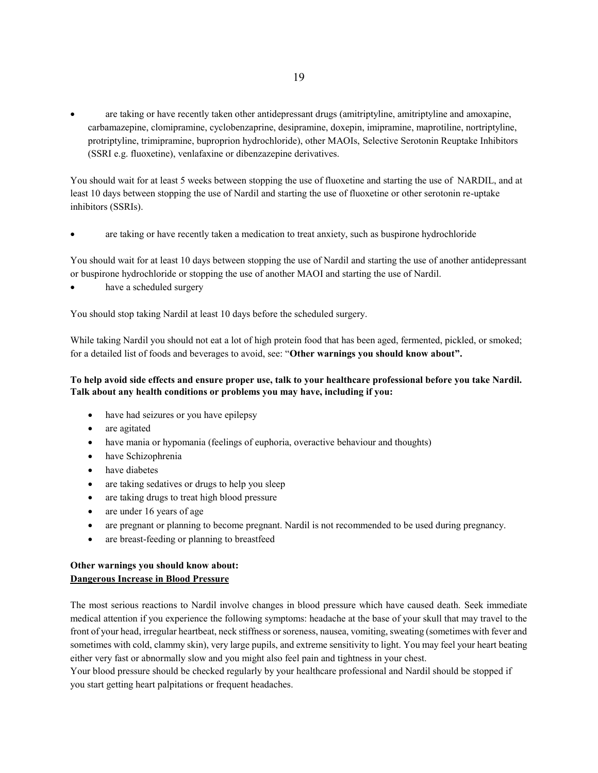are taking or have recently taken other antidepressant drugs (amitriptyline, amitriptyline and amoxapine, carbamazepine, clomipramine, cyclobenzaprine, desipramine, doxepin, imipramine, maprotiline, nortriptyline, protriptyline, trimipramine, buproprion hydrochloride), other MAOIs, Selective Serotonin Reuptake Inhibitors (SSRI e.g. fluoxetine), venlafaxine or dibenzazepine derivatives.

You should wait for at least 5 weeks between stopping the use of fluoxetine and starting the use of NARDIL, and at least 10 days between stopping the use of Nardil and starting the use of fluoxetine or other serotonin re-uptake inhibitors (SSRIs).

are taking or have recently taken a medication to treat anxiety, such as buspirone hydrochloride

You should wait for at least 10 days between stopping the use of Nardil and starting the use of another antidepressant or buspirone hydrochloride or stopping the use of another MAOI and starting the use of Nardil.

have a scheduled surgery

You should stop taking Nardil at least 10 days before the scheduled surgery.

While taking Nardil you should not eat a lot of high protein food that has been aged, fermented, pickled, or smoked; for a detailed list of foods and beverages to avoid, see: "**Other warnings you should know about".**

# **To help avoid side effects and ensure proper use, talk to your healthcare professional before you take Nardil. Talk about any health conditions or problems you may have, including if you:**

- have had seizures or you have epilepsy
- are agitated
- have mania or hypomania (feelings of euphoria, overactive behaviour and thoughts)
- have Schizophrenia
- have diabetes
- are taking sedatives or drugs to help you sleep
- are taking drugs to treat high blood pressure
- are under 16 years of age
- are pregnant or planning to become pregnant. Nardil is not recommended to be used during pregnancy.
- are breast-feeding or planning to breastfeed

# **Other warnings you should know about: Dangerous Increase in Blood Pressure**

The most serious reactions to Nardil involve changes in blood pressure which have caused death. Seek immediate medical attention if you experience the following symptoms: headache at the base of your skull that may travel to the front of your head, irregular heartbeat, neck stiffness or soreness, nausea, vomiting, sweating (sometimes with fever and sometimes with cold, clammy skin), very large pupils, and extreme sensitivity to light. You may feel your heart beating either very fast or abnormally slow and you might also feel pain and tightness in your chest.

Your blood pressure should be checked regularly by your healthcare professional and Nardil should be stopped if you start getting heart palpitations or frequent headaches.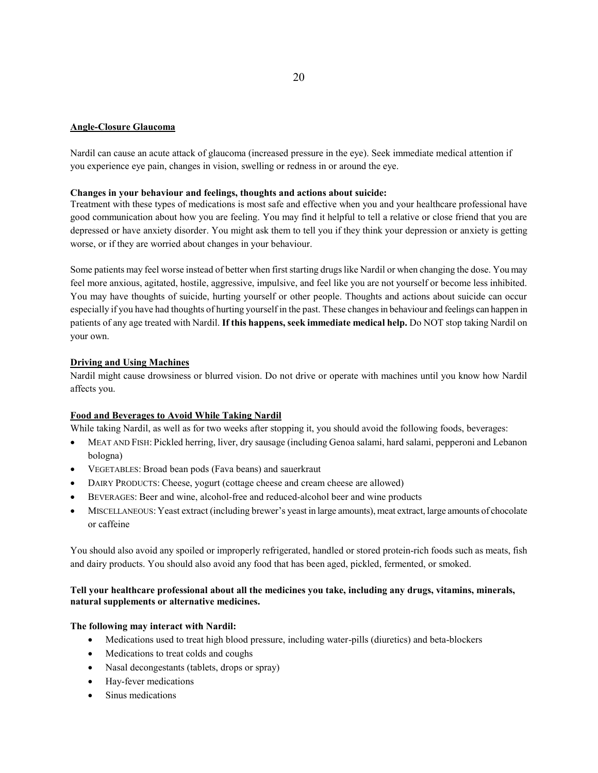# **Angle-Closure Glaucoma**

Nardil can cause an acute attack of glaucoma (increased pressure in the eye). Seek immediate medical attention if you experience eye pain, changes in vision, swelling or redness in or around the eye.

### **Changes in your behaviour and feelings, thoughts and actions about suicide:**

Treatment with these types of medications is most safe and effective when you and your healthcare professional have good communication about how you are feeling. You may find it helpful to tell a relative or close friend that you are depressed or have anxiety disorder. You might ask them to tell you if they think your depression or anxiety is getting worse, or if they are worried about changes in your behaviour.

Some patients may feel worse instead of better when first starting drugs like Nardil or when changing the dose. You may feel more anxious, agitated, hostile, aggressive, impulsive, and feel like you are not yourself or become less inhibited. You may have thoughts of suicide, hurting yourself or other people. Thoughts and actions about suicide can occur especially if you have had thoughts of hurting yourself in the past. These changes in behaviour and feelings can happen in patients of any age treated with Nardil. **If this happens, seek immediate medical help.** Do NOT stop taking Nardil on your own.

# **Driving and Using Machines**

Nardil might cause drowsiness or blurred vision. Do not drive or operate with machines until you know how Nardil affects you.

# **Food and Beverages to Avoid While Taking Nardil**

While taking Nardil, as well as for two weeks after stopping it, you should avoid the following foods, beverages:

- MEAT AND FISH: Pickled herring, liver, dry sausage (including Genoa salami, hard salami, pepperoni and Lebanon bologna)
- VEGETABLES: Broad bean pods (Fava beans) and sauerkraut
- DAIRY PRODUCTS: Cheese, yogurt (cottage cheese and cream cheese are allowed)
- BEVERAGES: Beer and wine, alcohol-free and reduced-alcohol beer and wine products
- MISCELLANEOUS: Yeast extract (including brewer's yeast in large amounts), meat extract, large amounts of chocolate or caffeine

You should also avoid any spoiled or improperly refrigerated, handled or stored protein-rich foods such as meats, fish and dairy products. You should also avoid any food that has been aged, pickled, fermented, or smoked.

# **Tell your healthcare professional about all the medicines you take, including any drugs, vitamins, minerals, natural supplements or alternative medicines.**

# **The following may interact with Nardil:**

- Medications used to treat high blood pressure, including water-pills (diuretics) and beta-blockers
- Medications to treat colds and coughs
- Nasal decongestants (tablets, drops or spray)
- Hay-fever medications
- Sinus medications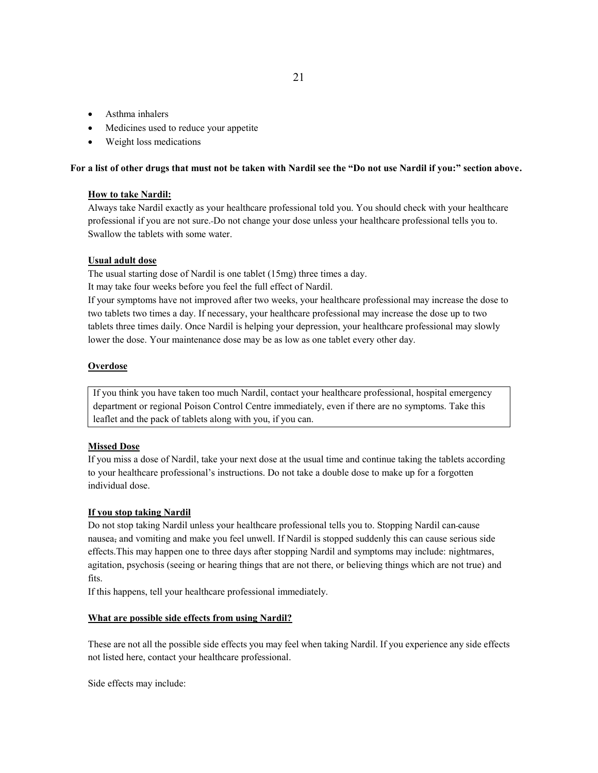- Asthma inhalers
- Medicines used to reduce your appetite
- Weight loss medications

### **For a list of other drugs that must not be taken with Nardil see the "Do not use Nardil if you:" section above.**

# **How to take Nardil:**

Always take Nardil exactly as your healthcare professional told you. You should check with your healthcare professional if you are not sure. Do not change your dose unless your healthcare professional tells you to. Swallow the tablets with some water.

# **Usual adult dose**

The usual starting dose of Nardil is one tablet (15mg) three times a day.

It may take four weeks before you feel the full effect of Nardil.

If your symptoms have not improved after two weeks, your healthcare professional may increase the dose to two tablets two times a day. If necessary, your healthcare professional may increase the dose up to two tablets three times daily. Once Nardil is helping your depression, your healthcare professional may slowly lower the dose. Your maintenance dose may be as low as one tablet every other day.

# **Overdose**

If you think you have taken too much Nardil, contact your healthcare professional, hospital emergency department or regional Poison Control Centre immediately, even if there are no symptoms. Take this leaflet and the pack of tablets along with you, if you can.

# **Missed Dose**

If you miss a dose of Nardil, take your next dose at the usual time and continue taking the tablets according to your healthcare professional's instructions. Do not take a double dose to make up for a forgotten individual dose.

# **If you stop taking Nardil**

Do not stop taking Nardil unless your healthcare professional tells you to. Stopping Nardil can cause nausea, and vomiting and make you feel unwell. If Nardil is stopped suddenly this can cause serious side effects.This may happen one to three days after stopping Nardil and symptoms may include: nightmares, agitation, psychosis (seeing or hearing things that are not there, or believing things which are not true) and fits.

If this happens, tell your healthcare professional immediately.

### **What are possible side effects from using Nardil?**

These are not all the possible side effects you may feel when taking Nardil. If you experience any side effects not listed here, contact your healthcare professional.

Side effects may include: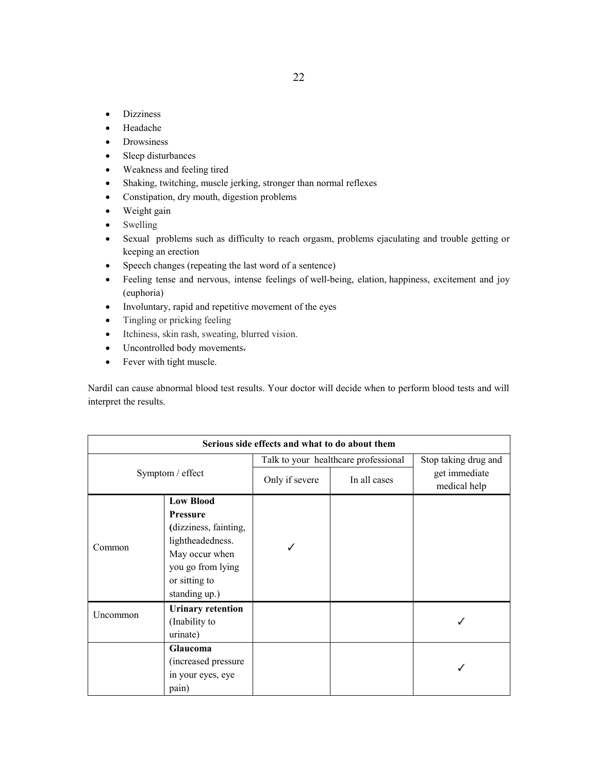- Dizziness
- Headache
- Drowsiness
- Sleep disturbances
- Weakness and feeling tired
- Shaking, twitching, muscle jerking, stronger than normal reflexes
- Constipation, dry mouth, digestion problems
- Weight gain
- Swelling
- Sexual problems such as difficulty to reach orgasm, problems ejaculating and trouble getting or keeping an erection
- Speech changes (repeating the last word of a sentence)
- Feeling tense and nervous, intense feelings of [well-being,](https://en.wikipedia.org/wiki/Well-being) elation, [happiness,](https://en.wikipedia.org/wiki/Happiness) excitement and joy (euphoria)
- Involuntary, rapid and repetitive movement of the eyes
- Tingling or pricking feeling
- Itchiness, skin rash, sweating, blurred vision.
- Uncontrolled body movements.
- Fever with tight muscle.

Nardil can cause abnormal blood test results. Your doctor will decide when to perform blood tests and will interpret the results.

| Serious side effects and what to do about them |                          |                                      |              |                               |
|------------------------------------------------|--------------------------|--------------------------------------|--------------|-------------------------------|
| Symptom / effect                               |                          | Talk to your healthcare professional |              | Stop taking drug and          |
|                                                |                          | Only if severe                       | In all cases | get immediate<br>medical help |
|                                                | <b>Low Blood</b>         |                                      |              |                               |
|                                                | <b>Pressure</b>          |                                      |              |                               |
|                                                | (dizziness, fainting,    |                                      |              |                               |
| Common                                         | lightheadedness.         |                                      |              |                               |
|                                                | May occur when           |                                      |              |                               |
|                                                | you go from lying        |                                      |              |                               |
|                                                | or sitting to            |                                      |              |                               |
|                                                | standing up.)            |                                      |              |                               |
|                                                | <b>Urinary retention</b> |                                      |              |                               |
| Uncommon                                       | (Inability to            |                                      |              |                               |
|                                                | urinate)                 |                                      |              |                               |
|                                                | Glaucoma                 |                                      |              |                               |
|                                                | (increased pressure      |                                      |              |                               |
|                                                | in your eyes, eye        |                                      |              |                               |
|                                                | pain)                    |                                      |              |                               |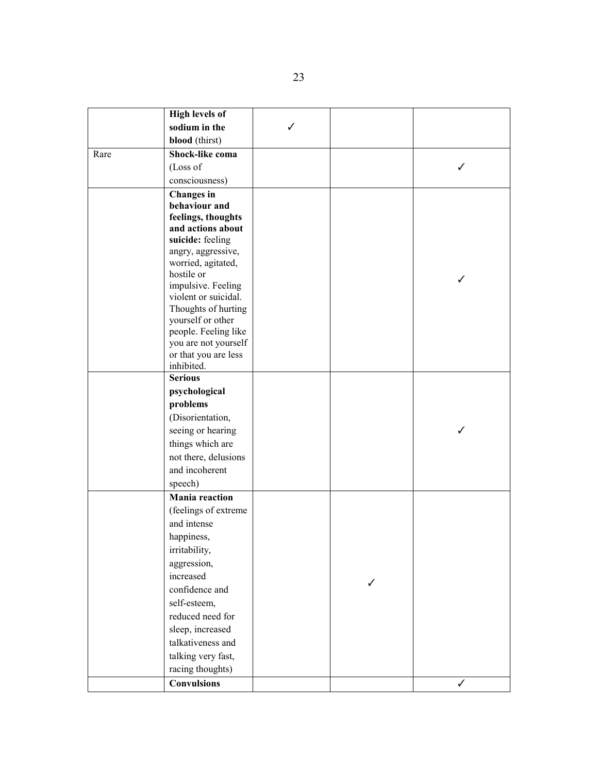|      | <b>High levels of</b>            |  |   |
|------|----------------------------------|--|---|
|      | sodium in the                    |  |   |
|      | blood (thirst)                   |  |   |
| Rare | Shock-like coma                  |  |   |
|      | (Loss of                         |  |   |
|      | consciousness)                   |  |   |
|      | <b>Changes</b> in                |  |   |
|      | behaviour and                    |  |   |
|      | feelings, thoughts               |  |   |
|      | and actions about                |  |   |
|      | suicide: feeling                 |  |   |
|      | angry, aggressive,               |  |   |
|      | worried, agitated,               |  |   |
|      | hostile or<br>impulsive. Feeling |  |   |
|      | violent or suicidal.             |  |   |
|      | Thoughts of hurting              |  |   |
|      | yourself or other                |  |   |
|      | people. Feeling like             |  |   |
|      | you are not yourself             |  |   |
|      | or that you are less             |  |   |
|      | inhibited.                       |  |   |
|      | <b>Serious</b>                   |  |   |
|      | psychological                    |  |   |
|      | problems                         |  |   |
|      | (Disorientation,                 |  |   |
|      | seeing or hearing                |  |   |
|      | things which are                 |  |   |
|      | not there, delusions             |  |   |
|      | and incoherent                   |  |   |
|      | speech)                          |  |   |
|      | <b>Mania</b> reaction            |  |   |
|      | (feelings of extreme             |  |   |
|      | and intense                      |  |   |
|      | happiness,                       |  |   |
|      | irritability,                    |  |   |
|      | aggression,                      |  |   |
|      | increased                        |  |   |
|      | confidence and                   |  |   |
|      | self-esteem,                     |  |   |
|      | reduced need for                 |  |   |
|      | sleep, increased                 |  |   |
|      | talkativeness and                |  |   |
|      | talking very fast,               |  |   |
|      | racing thoughts)                 |  |   |
|      | <b>Convulsions</b>               |  | ✓ |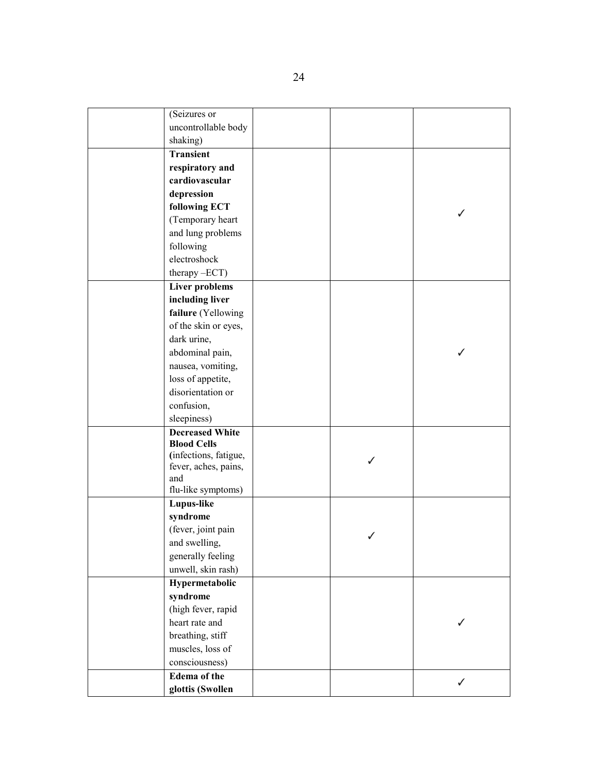| (Seizures or                |   |   |
|-----------------------------|---|---|
| uncontrollable body         |   |   |
| shaking)                    |   |   |
| Transient                   |   |   |
| respiratory and             |   |   |
| cardiovascular              |   |   |
| depression                  |   |   |
| following ECT               |   |   |
| (Temporary heart            |   |   |
| and lung problems           |   |   |
| following                   |   |   |
| electroshock                |   |   |
| therefore                   |   |   |
| <b>Liver problems</b>       |   |   |
| including liver             |   |   |
| failure (Yellowing          |   |   |
| of the skin or eyes,        |   |   |
| dark urine,                 |   |   |
| abdominal pain,             |   |   |
| nausea, vomiting,           |   |   |
| loss of appetite,           |   |   |
| disorientation or           |   |   |
| confusion,                  |   |   |
| sleepiness)                 |   |   |
| <b>Decreased White</b>      |   |   |
| <b>Blood Cells</b>          |   |   |
| (infections, fatigue,       | ∕ |   |
| fever, aches, pains,<br>and |   |   |
| flu-like symptoms)          |   |   |
| Lupus-like                  |   |   |
| syndrome                    |   |   |
| (fever, joint pain          |   |   |
| and swelling,               |   |   |
| generally feeling           |   |   |
| unwell, skin rash)          |   |   |
| Hypermetabolic              |   |   |
| syndrome                    |   |   |
| (high fever, rapid          |   |   |
| heart rate and              |   |   |
| breathing, stiff            |   |   |
| muscles, loss of            |   |   |
| consciousness)              |   |   |
| <b>Edema</b> of the         |   |   |
| glottis (Swollen            |   | ✓ |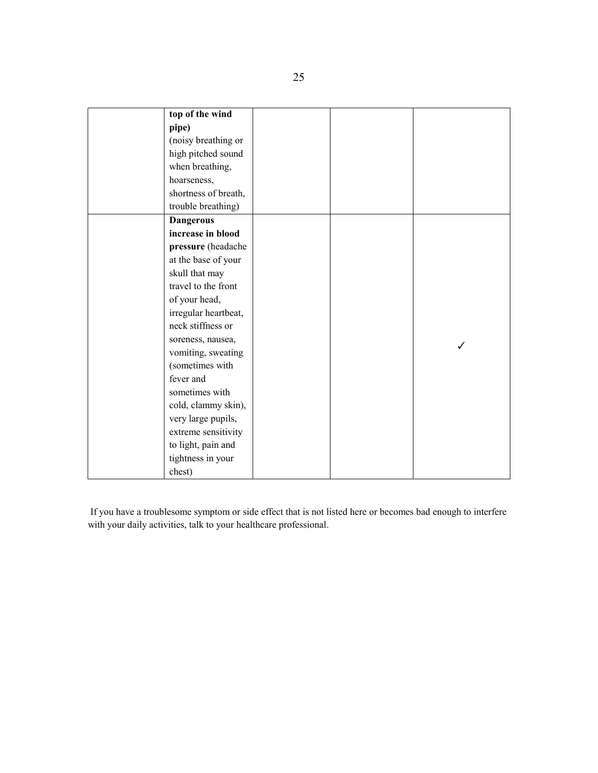| top of the wind      |  |              |
|----------------------|--|--------------|
| pipe)                |  |              |
| (noisy breathing or  |  |              |
| high pitched sound   |  |              |
| when breathing,      |  |              |
| hoarseness,          |  |              |
| shortness of breath, |  |              |
| trouble breathing)   |  |              |
| <b>Dangerous</b>     |  |              |
| increase in blood    |  |              |
| pressure (headache   |  |              |
| at the base of your  |  |              |
| skull that may       |  |              |
| travel to the front  |  |              |
| of your head,        |  |              |
| irregular heartbeat, |  |              |
| neck stiffness or    |  |              |
| soreness, nausea,    |  | $\checkmark$ |
| vomiting, sweating   |  |              |
| (sometimes with      |  |              |
| fever and            |  |              |
| sometimes with       |  |              |
| cold, clammy skin),  |  |              |
| very large pupils,   |  |              |
| extreme sensitivity  |  |              |
| to light, pain and   |  |              |
| tightness in your    |  |              |
| chest)               |  |              |

If you have a troublesome symptom or side effect that is not listed here or becomes bad enough to interfere with your daily activities, talk to your healthcare professional.